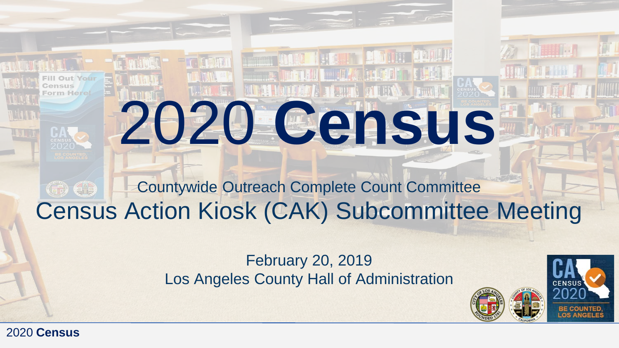#### Countywide Outreach Complete Count Committee **GD** GD Census Action Kiosk (CAK) Subcommittee Meeting

2020 **Census**

**THE LETTER DESCRIPTION** 

#### February 20, 2019 Los Angeles County Hall of Administration



2020 **Census**

orm Herel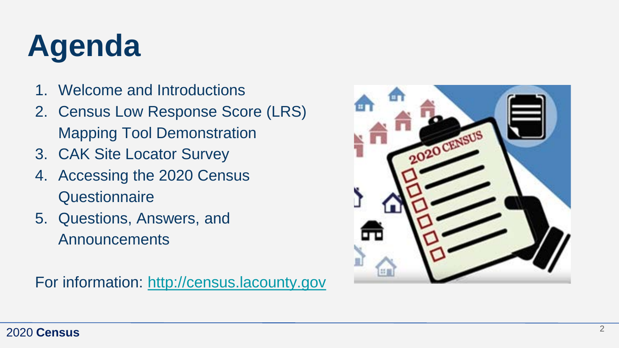# **Agenda**

- 1. Welcome and Introductions
- 2. Census Low Response Score (LRS) Mapping Tool Demonstration
- 3. CAK Site Locator Survey
- 4. Accessing the 2020 Census **Questionnaire**
- 5. Questions, Answers, and Announcements

For information: [http://census.lacounty.gov](http://census.lacounty.gov/)

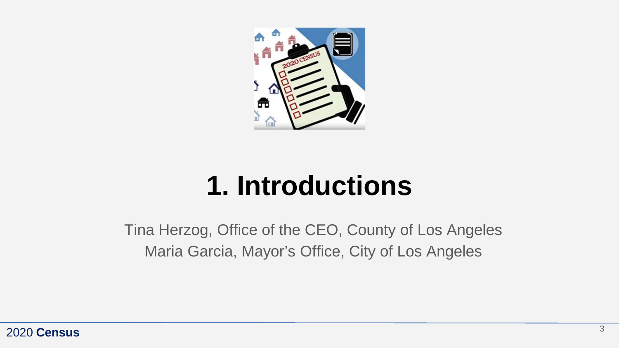

# **1. Introductions**

Tina Herzog, Office of the CEO, County of Los Angeles Maria Garcia, Mayor's Office, City of Los Angeles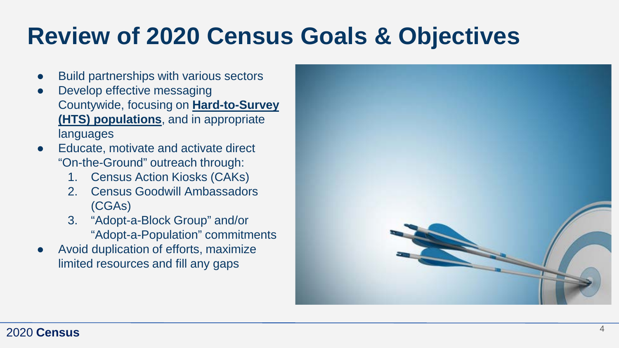## **Review of 2020 Census Goals & Objectives**

- **Build partnerships with various sectors**
- Develop effective messaging Countywide, focusing on **Hard-to-Survey (HTS) populations**, and in appropriate languages
- Educate, motivate and activate direct "On-the-Ground" outreach through:
	- 1. Census Action Kiosks (CAKs)
	- 2. Census Goodwill Ambassadors (CGAs)
	- 3. "Adopt-a-Block Group" and/or "Adopt-a-Population" commitments
- Avoid duplication of efforts, maximize limited resources and fill any gaps

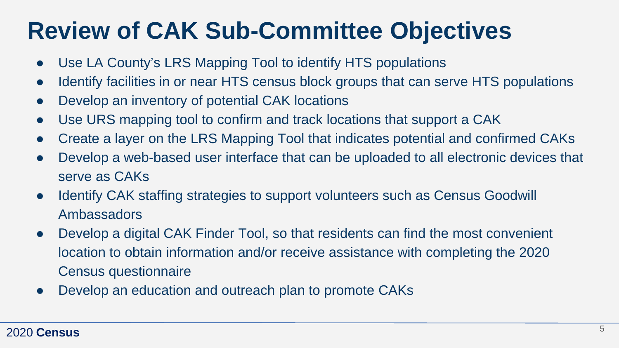## **Review of CAK Sub-Committee Objectives**

- Use LA County's LRS Mapping Tool to identify HTS populations
- Identify facilities in or near HTS census block groups that can serve HTS populations
- Develop an inventory of potential CAK locations
- Use URS mapping tool to confirm and track locations that support a CAK
- Create a layer on the LRS Mapping Tool that indicates potential and confirmed CAKs
- Develop a web-based user interface that can be uploaded to all electronic devices that serve as CAKs
- Identify CAK staffing strategies to support volunteers such as Census Goodwill Ambassadors
- Develop a digital CAK Finder Tool, so that residents can find the most convenient location to obtain information and/or receive assistance with completing the 2020 Census questionnaire
- Develop an education and outreach plan to promote CAKs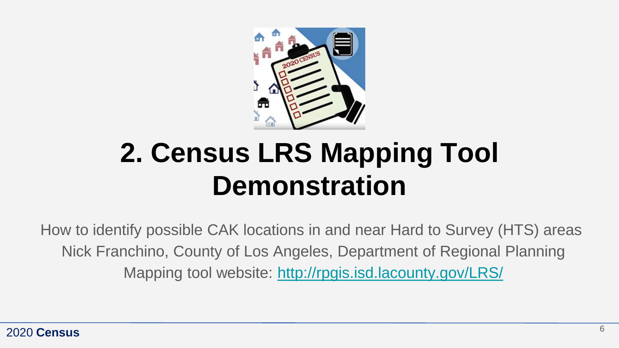

# **2. Census LRS Mapping Tool Demonstration**

How to identify possible CAK locations in and near Hard to Survey (HTS) areas Nick Franchino, County of Los Angeles, Department of Regional Planning Mapping tool website: <http://rpgis.isd.lacounty.gov/LRS/>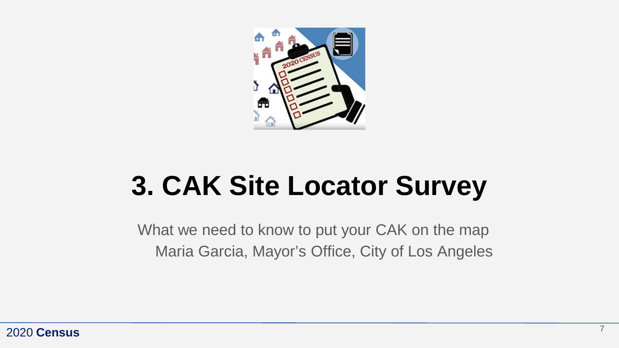

# **3. CAK Site Locator Survey**

What we need to know to put your CAK on the map Maria Garcia, Mayor's Office, City of Los Angeles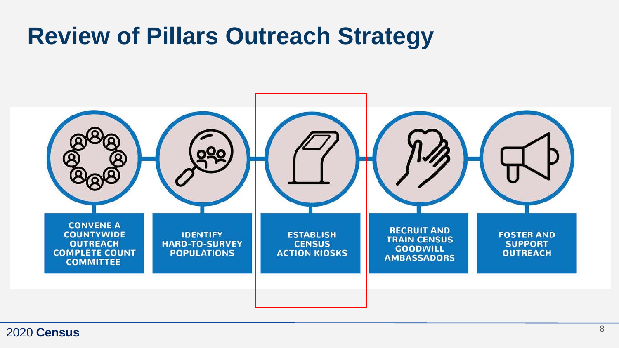## **Review of Pillars Outreach Strategy**

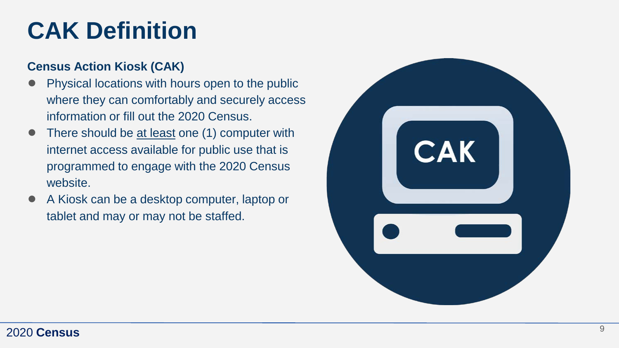## **CAK Definition**

#### **Census Action Kiosk (CAK)**

- Physical locations with hours open to the public where they can comfortably and securely access information or fill out the 2020 Census.
- There should be at least one (1) computer with internet access available for public use that is programmed to engage with the 2020 Census website.
- A Kiosk can be a desktop computer, laptop or tablet and may or may not be staffed.

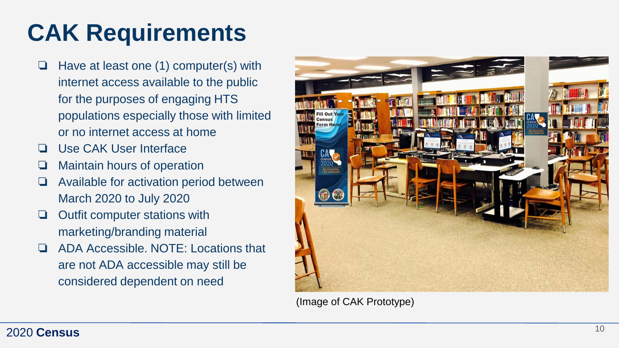# **CAK Requirements**

- ❏ Have at least one (1) computer(s) with internet access available to the public for the purposes of engaging HTS populations especially those with limited or no internet access at home
- ❏ Use CAK User Interface
- ❏ Maintain hours of operation
- ❏ Available for activation period between March 2020 to July 2020
- ❏ Outfit computer stations with marketing/branding material
- ❏ ADA Accessible. NOTE: Locations that are not ADA accessible may still be considered dependent on need



(Image of CAK Prototype)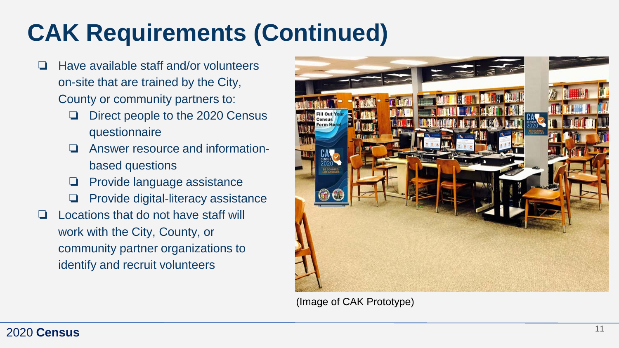# **CAK Requirements (Continued)**

- ❏ Have available staff and/or volunteers on-site that are trained by the City, County or community partners to:
	- ❏ Direct people to the 2020 Census questionnaire
	- ❏ Answer resource and informationbased questions
	- ❏ Provide language assistance
	- ❏ Provide digital-literacy assistance
- ❏ Locations that do not have staff will work with the City, County, or community partner organizations to identify and recruit volunteers



(Image of CAK Prototype)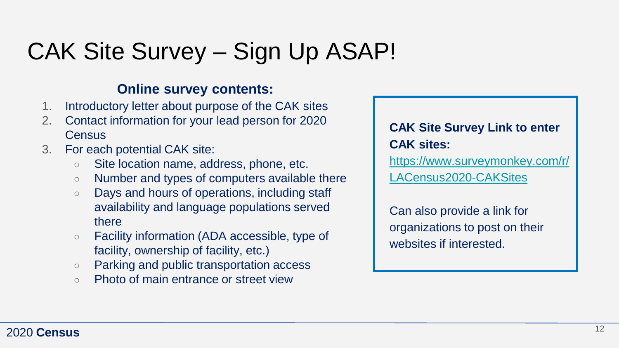## CAK Site Survey – Sign Up ASAP!

#### **Online survey contents:**

- 1. Introductory letter about purpose of the CAK sites
- 2. Contact information for your lead person for 2020 **Census**
- 3. For each potential CAK site:
	- Site location name, address, phone, etc.
	- Number and types of computers available there
	- Days and hours of operations, including staff availability and language populations served there
	- Facility information (ADA accessible, type of facility, ownership of facility, etc.)
	- Parking and public transportation access
	- Photo of main entrance or street view

#### **CAK Site Survey Link to enter CAK sites:**

[https://www.surveymonkey.com/r/](https://www.surveymonkey.com/r/LACensus2020-CAKSites) [LACensus2020-CAKSites](https://www.surveymonkey.com/r/LACensus2020-CAKSites)

Can also provide a link for organizations to post on their websites if interested.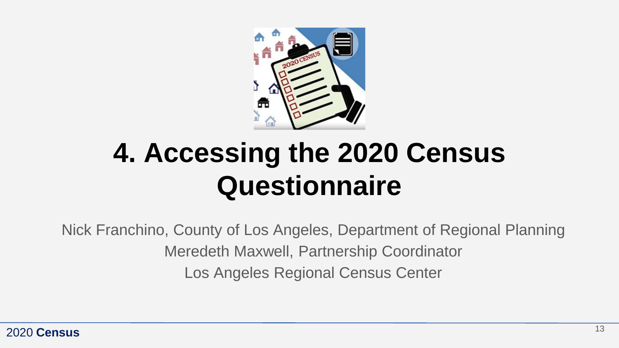

# **4. Accessing the 2020 Census Questionnaire**

Nick Franchino, County of Los Angeles, Department of Regional Planning Meredeth Maxwell, Partnership Coordinator Los Angeles Regional Census Center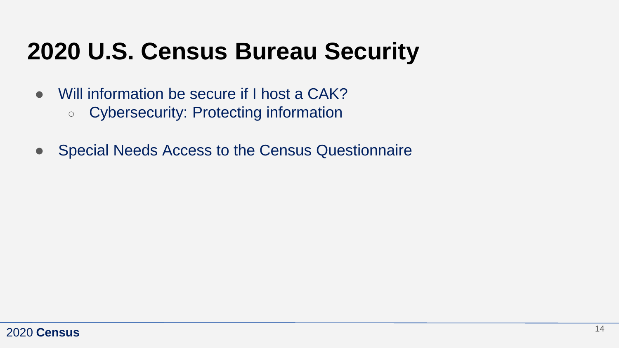## **2020 U.S. Census Bureau Security**

- Will information be secure if I host a CAK?
	- Cybersecurity: Protecting information
- Special Needs Access to the Census Questionnaire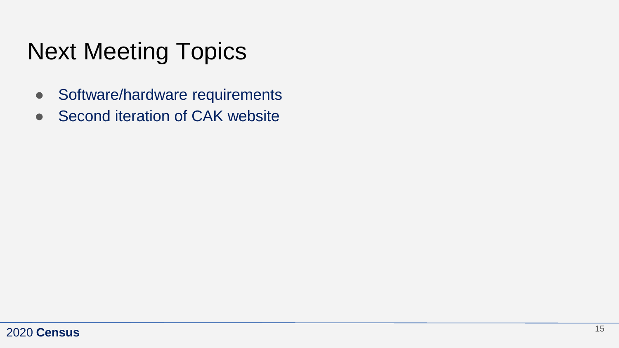# Next Meeting Topics

- Software/hardware requirements
- Second iteration of CAK website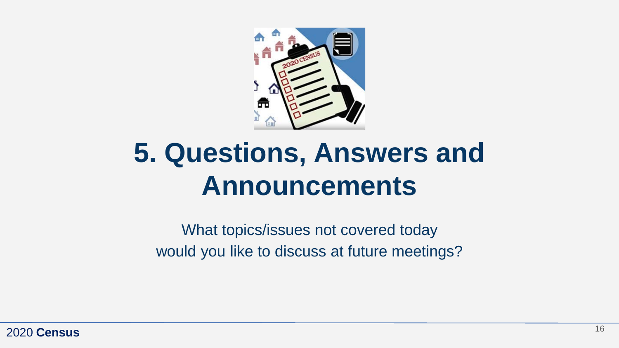

# **5. Questions, Answers and Announcements**

What topics/issues not covered today would you like to discuss at future meetings?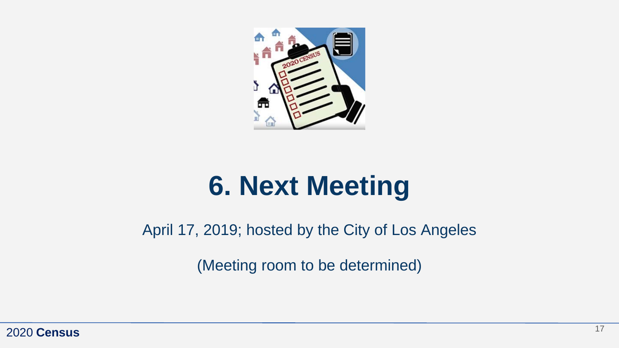

# **6. Next Meeting**

April 17, 2019; hosted by the City of Los Angeles

(Meeting room to be determined)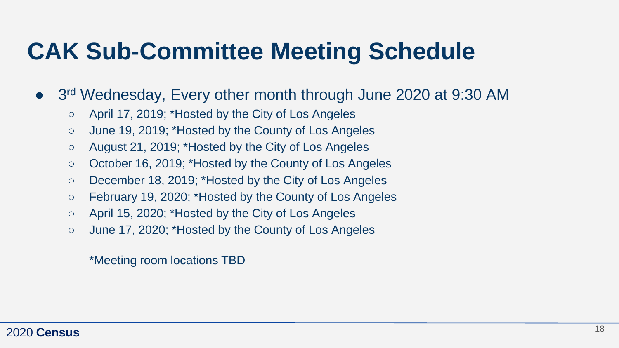## **CAK Sub-Committee Meeting Schedule**

- 3<sup>rd</sup> Wednesday, Every other month through June 2020 at 9:30 AM
	- April 17, 2019; \*Hosted by the City of Los Angeles
	- June 19, 2019; \*Hosted by the County of Los Angeles
	- August 21, 2019; \*Hosted by the City of Los Angeles
	- October 16, 2019; \*Hosted by the County of Los Angeles
	- December 18, 2019; \*Hosted by the City of Los Angeles
	- February 19, 2020; \*Hosted by the County of Los Angeles
	- April 15, 2020; \*Hosted by the City of Los Angeles
	- June 17, 2020; \*Hosted by the County of Los Angeles

\*Meeting room locations TBD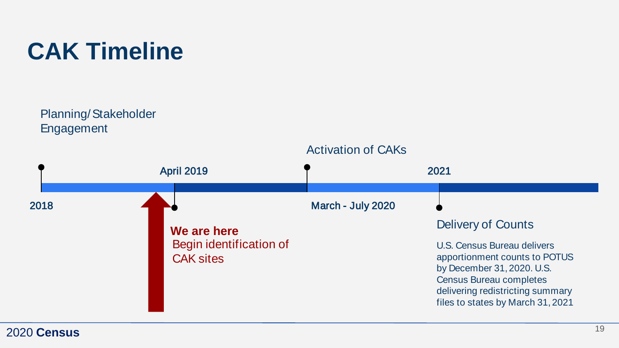

Planning/Stakeholder Engagement

#### Activation of CAKs



#### 2020 **Census**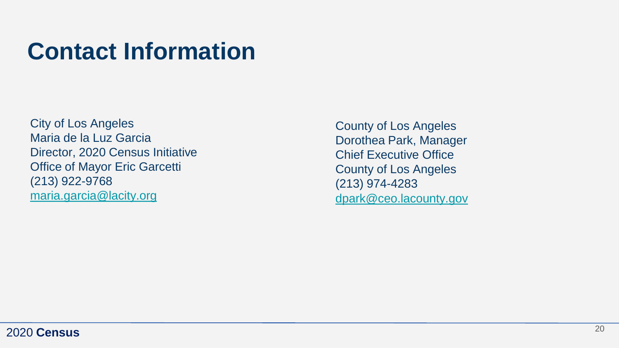### **Contact Information**

City of Los Angeles Maria de la Luz Garcia Director, 2020 Census Initiative Office of Mayor Eric Garcetti (213) 922-9768 [maria.garcia@lacity.org](mailto:maria.garcia@lacity.org)

County of Los Angeles Dorothea Park, Manager Chief Executive Office County of Los Angeles (213) 974-4283 [dpark@ceo.lacounty.gov](mailto:dpark@ceo.lacounty.gov)